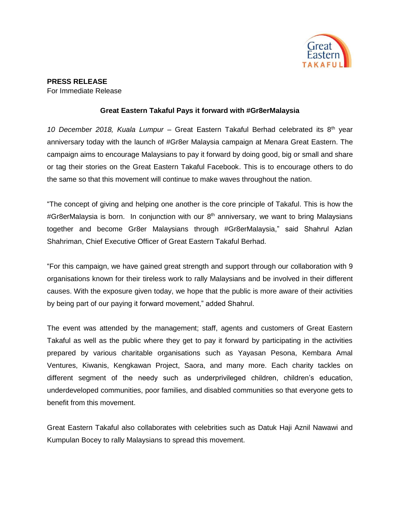

## **PRESS RELEASE**

For Immediate Release

## **Great Eastern Takaful Pays it forward with #Gr8erMalaysia**

*10 December 2018, Kuala Lumpur* – Great Eastern Takaful Berhad celebrated its 8th year anniversary today with the launch of #Gr8er Malaysia campaign at Menara Great Eastern. The campaign aims to encourage Malaysians to pay it forward by doing good, big or small and share or tag their stories on the Great Eastern Takaful Facebook. This is to encourage others to do the same so that this movement will continue to make waves throughout the nation.

"The concept of giving and helping one another is the core principle of Takaful. This is how the #Gr8erMalaysia is born. In conjunction with our 8<sup>th</sup> anniversary, we want to bring Malaysians together and become Gr8er Malaysians through #Gr8erMalaysia," said Shahrul Azlan Shahriman, Chief Executive Officer of Great Eastern Takaful Berhad.

"For this campaign, we have gained great strength and support through our collaboration with 9 organisations known for their tireless work to rally Malaysians and be involved in their different causes. With the exposure given today, we hope that the public is more aware of their activities by being part of our paying it forward movement," added Shahrul.

The event was attended by the management; staff, agents and customers of Great Eastern Takaful as well as the public where they get to pay it forward by participating in the activities prepared by various charitable organisations such as Yayasan Pesona, Kembara Amal Ventures, Kiwanis, Kengkawan Project, Saora, and many more. Each charity tackles on different segment of the needy such as underprivileged children, children's education, underdeveloped communities, poor families, and disabled communities so that everyone gets to benefit from this movement.

Great Eastern Takaful also collaborates with celebrities such as Datuk Haji Aznil Nawawi and Kumpulan Bocey to rally Malaysians to spread this movement.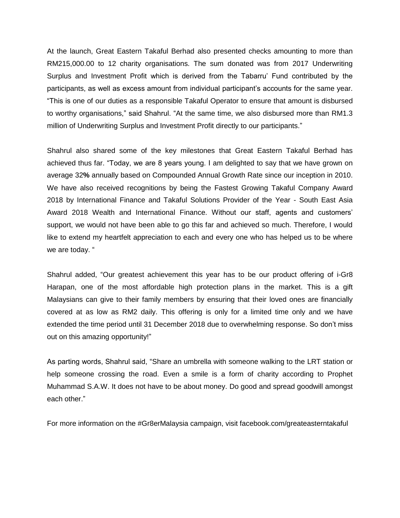At the launch, Great Eastern Takaful Berhad also presented checks amounting to more than RM215,000.00 to 12 charity organisations. The sum donated was from 2017 Underwriting Surplus and Investment Profit which is derived from the Tabarru' Fund contributed by the participants, as well as excess amount from individual participant's accounts for the same year. "This is one of our duties as a responsible Takaful Operator to ensure that amount is disbursed to worthy organisations," said Shahrul. "At the same time, we also disbursed more than RM1.3 million of Underwriting Surplus and Investment Profit directly to our participants."

Shahrul also shared some of the key milestones that Great Eastern Takaful Berhad has achieved thus far. "Today, we are 8 years young. I am delighted to say that we have grown on average 32**%** annually based on Compounded Annual Growth Rate since our inception in 2010. We have also received recognitions by being the Fastest Growing Takaful Company Award 2018 by International Finance and Takaful Solutions Provider of the Year - South East Asia Award 2018 Wealth and International Finance. Without our staff, agents and customers' support, we would not have been able to go this far and achieved so much. Therefore, I would like to extend my heartfelt appreciation to each and every one who has helped us to be where we are today. "

Shahrul added, "Our greatest achievement this year has to be our product offering of i-Gr8 Harapan, one of the most affordable high protection plans in the market. This is a gift Malaysians can give to their family members by ensuring that their loved ones are financially covered at as low as RM2 daily. This offering is only for a limited time only and we have extended the time period until 31 December 2018 due to overwhelming response. So don't miss out on this amazing opportunity!"

As parting words, Shahrul said, "Share an umbrella with someone walking to the LRT station or help someone crossing the road. Even a smile is a form of charity according to Prophet Muhammad S.A.W. It does not have to be about money. Do good and spread goodwill amongst each other."

For more information on the #Gr8erMalaysia campaign, visit facebook.com/greateasterntakaful